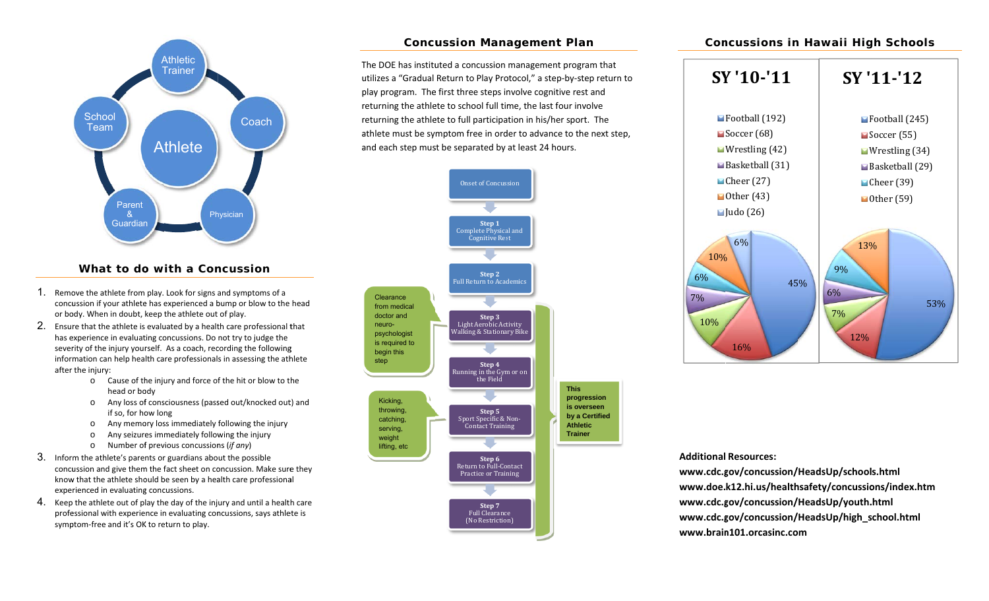

## **What to doo with a Conncussion**

- 1. Remove the athlete from play. Look for signs and symptoms of a concussion if your athlete has experienced a bump or blow to the head or body. When in doubt, keep the athlete out of play.
- $2.$  Ensure that the athlete is evaluated by a health care professional that has experience in evaluating concussions. Do not try to judge the severity of the injury yourself. As a coach, recording the following severity of the injury yourself. As a coach, recording the following<br>information can help health care professionals in assessing the athlete after the injury:
	- o Cause of the injury and force of the hit or blow to the head or body
	- o Any loss of consciousness (passed out/knocked out) and if so, for how long
	- oo Any memory loss immediately following the injury
	- oo Any seizures immediately following the injury
	- o Number of previous concussions (*if any*)
- $3.$  Inform the athlete's parents or guardians about the possible concussion and give them the fact sheet on concussion. Make sure they know that the athlete should be seen by a health care professional expe rienced in evaluating g concussions.
- $4$ . Keep the athlete out of play the day of the injury and until a health care professional with experience in evaluating concussions, says athlete is symp ptom‐free and it's OK K to return to play.

# **Concu ussion Mana agement Pla an**

The DOE has instituted a concussion management program that utilizes a "Gradual Return to Play Protocol," a step-by-step return to play program. The first three steps involve cognitive rest and returning the athlete to school full time, the last four involve returning the athlete to full participation in his/her sport. The athlete must be symptom free in order to advance to the next step, and each step must be separated by at least 24 hours.



### **Con ncussions in Hawaii Hig gh Schools**



#### **AdditionalResources:**

**www.cdc.g gov/concussion/ HeadsUp/school ls.html www.doe. k12.hi.us/health hsafety/concussio ons/index.htm www.cdc.g gov/concussion/ HeadsUp/youth. .html www.cdc.g gov/concussion/ HeadsUp/high\_s school.html www.brainn101.orcasinc.com**